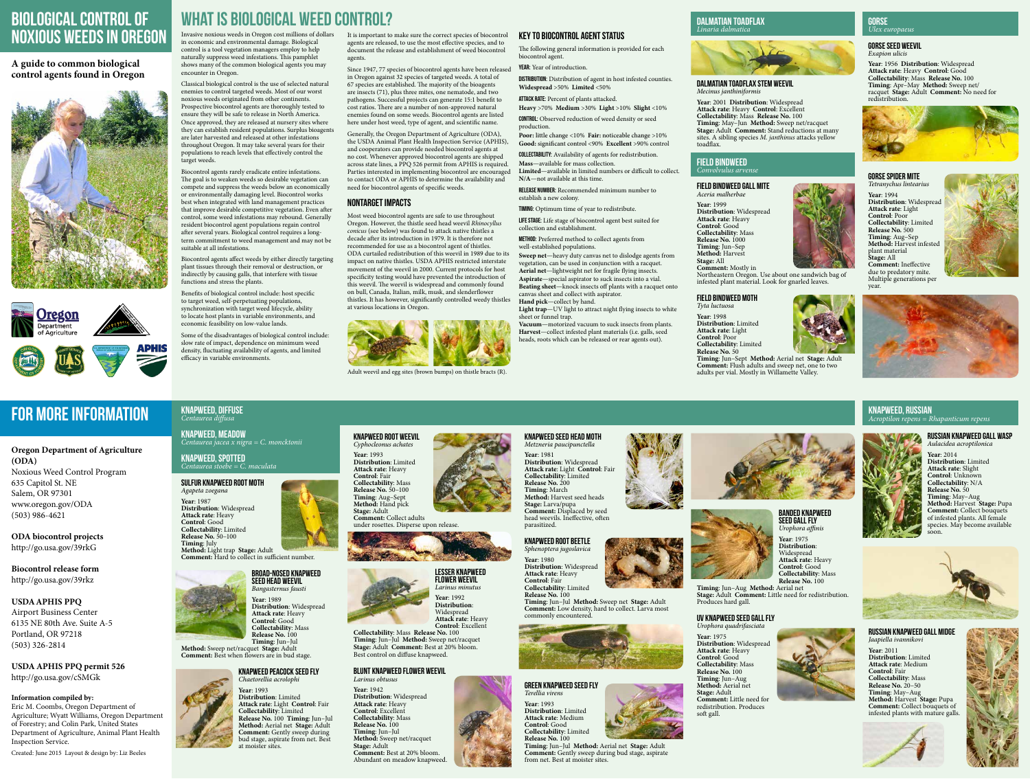# Biological Control of Noxious Weeds in Oregon

# **A guide to common biological control agents found in Oregon**





# for more information

## **Oregon Department of Agriculture (ODA)**

Noxious Weed Control Program 635 Capitol St. NE Salem, OR 97301 www.oregon.gov/ODA (503) 986-4621

**ODA biocontrol projects** http://go.usa.gov/39rkG

**Biocontrol release form** http://go.usa.gov/39rkz

### **USDA APHIS PPQ**

Airport Business Center 6135 NE 80th Ave. Suite A-5 Portland, OR 97218 (503) 326-2814

**USDA APHIS PPQ permit 526** http://go.usa.gov/cSMGk

#### **Information compiled by:**

Eric M. Coombs, Oregon Department of Agriculture; Wyatt Williams, Oregon Department of Forestry; and Colin Park, United States Department of Agriculture, Animal Plant Health Inspection Service.

Created: June 2015 Layout & design by: Liz Beeles

# WHAT IS BIOLOGICAL WEED CONTROL? DALMATIAN TOADFLAX

Invasive noxious weeds in Oregon cost millions of dollars in economic and environmental damage. Biological control is a tool vegetation managers employ to help naturally suppress weed infestations. This pamphlet shows many of the common biological agents you may encounter in Oregon.

Classical biological control is the use of selected natural enemies to control targeted weeds. Most of our worst noxious weeds originated from other continents. Prospective biocontrol agents are thoroughly tested to ensure they will be safe to release in North America. Once approved, they are released at nursery sites where they can establish resident populations. Surplus bioagents are later harvested and released at other infestations throughout Oregon. It may take several years for their populations to reach levels that effectively control the target weeds.

Biocontrol agents rarely eradicate entire infestations. The goal is to weaken weeds so desirable vegetation can compete and suppress the weeds below an economically or environmentally damaging level. Biocontrol works best when integrated with land management practices that improve desirable competitive vegetation. Even after control, some weed infestations may rebound. Generally resident biocontrol agent populations regain control after several years. Biological control requires a longterm commitment to weed management and may not be suitable at all infestations.

Biocontrol agents affect weeds by either directly targeting plant tissues through their removal or destruction, or indirectly by causing galls, that interfere with tissue functions and stress the plants.

Benefits of biological control include: host specific to target weed, self-perpetuating populations, synchronization with target weed lifecycle, ability to locate host plants in variable environments, and economic feasibility on low-value lands.

Some of the disadvantages of biological control include: slow rate of impact, dependence on minimum weed density, fluctuating availability of agents, and limited efficacy in variable environments.

It is important to make sure the correct species of biocontrol agents are released, to use the most effective species, and to document the release and establishment of weed biocontrol agents.

- DISTRIBUTION: Distribution of agent in host infested counties. **Widespread** >50% **Limited** <50%
- ATTACK RATE: Percent of plants attacked.
- **Heavy** >70% **Medium** >30% **Light** >10% **Slight** <10% CONTROL: Observed reduction of weed density or seed
- Poor: little change <10% Fair: noticeable change >10% **Good:** significant control <90% **Excellent** >90% control
- **COLLECTABILITY:** Availability of agents for redistribution. **Mass**—available for mass collection.
- **Limited**—available in limited numbers or difficult to collect. **N/A**—not available at this time.
- RELEASE NUMBER: Recommended minimum number to establish a new colony.
- TIMING: Optimum time of year to redistribute.
- LIFE STAGE: Life stage of biocontrol agent best suited for collection and establishment.
- **METHOD:** Preferred method to collect agents from well-established populations.
- **Sweep net**—heavy duty canvas net to dislodge agents from vegetation, can be used in conjunction with a racquet. **Aerial net**—lightweight net for fragile flying insects.
- **Aspirate**—special aspirator to suck insects into a vial. **Beating sheet**—knock insects off plants with a racquet onto canvas sheet and collect with aspirator.
- **Hand pick**—collect by hand.
- Light trap—UV light to attract night flying insects to white sheet or funnel trap.
- **Vacuum**—motorized vacuum to suck insects from plants. **Harvest**—collect infested plant materials (i.e. galls, seed heads, roots which can be released or rear agents out).

Since 1947, 77 species of biocontrol agents have been released in Oregon against 32 species of targeted weeds. A total of 67 species are established. The majority of the bioagents are insects (71), plus three mites, one nematode, and two pathogens. Successful projects can generate 15:1 benefit to cost ratios. There are a number of non-approved natural enemies found on some weeds. Biocontrol agents are listed here under host weed, type of agent, and scientific name.

Generally, the Oregon Department of Agriculture (ODA), the USDA Animal Plant Health Inspection Service (APHIS), and cooperators can provide needed biocontrol agents at no cost. Whenever approved biocontrol agents are shipped across state lines, a PPQ 526 permit from APHIS is required. Parties interested in implementing biocontrol are encouraged to contact ODA or APHIS to determine the availability and need for biocontrol agents of specific weeds.

#### Nontarget Impacts

Most weed biocontrol agents are safe to use throughout Oregon. However, the thistle seed head weevil *Rhinocyllus conicus* (see below) was found to attack native thistles a decade after its introduction in 1979. It is therefore not recommended for use as a biocontrol agent of thistles. ODA curtailed redistribution of this weevil in 1989 due to its impact on native thistles. USDA APHIS restricted interstate movement of the weevil in 2000. Current protocols for host specificity testing would have prevented the introduction of this weevil. The weevil is widespread and commonly found on bull, Canada, Italian, milk, musk, and slenderflower thistles. It has however, significantly controlled weedy thistles at various locations in Oregon.



Adult weevil and egg sites (brown bumps) on thistle bracts (R).

# Key to Biocontrol Agent Status

The following general information is provided for each

YEAR: Year of introduction.

biocontrol agent.

production.

# *Linaria dalmatica*



#### Dalmatian toadflax stem weevil *Mecinus janthiniformis*

**Year**: 2001 **Distribution**: Widespread **Attack rate**: Heavy **Control**: Excellent **Collectability**: Mass **Release No.** 100 **Timing**: May–Jun **Method:** Sweep net/racquet **Stage:** Adult **Comment:** Stand reductions at many sites. A sibling species *M. janthinus* attacks yellow toadflax.

#### FIELD BINDWEED *Convolvulus arvense*

#### Field bindweed gall mite *Aceria malherbae*

**Year**: 1999 **Distribution**: Widespread **Attack rate**: Heavy **Control**: Good **Collectability**: Mass **Release No.** 1000 **Timing**: Jun–Sep **Method:** Harvest **Stage:** All

**Comment:** Mostly in

Northeastern Oregon. Use about one sandwich bag of infested plant material. Look for gnarled leaves.

# Field bindweed moth

*Tyta luctuosa* **Year**: 1998 **Distribution**: Limited **Attack rate**: Light **Control**: Poor **Collectability**: Limited **Release No.** 50



**Comment:** Flush adults and sweep net, one to two adults per vial. Mostly in Willamette Valley.

#### GORSE *Ulex europaeus*

Gorse seed weevil *Exapion ulicis*

**Year**: 1956 **Distribution**: Widespread **Attack rate**: Heavy **Control**: Good **Collectability**: Mass **Release No.** 100 **Timing**: Apr–May **Method:** Sweep net/ racquet **Stage:** Adult **Comment:** No need for redistribution.



#### Gorse spider mite *Tetranychus lintearius*

**Year**: 1994 **Distribution**: Widespread **Attack rate**: Light **Control**: Poor **Collectability**: Limited **Release No.** 500 **Timing**: Aug–Sep **Method:** Harvest infested plant material **Stage:** All **Comment:** Ineffective due to predatory mite. Multiple generations per year.





#### KNAPWEED, DIFFUSE *Centaurea diffusa*

KNAPWEED, MEADOW *Centaurea jacea x nigra = C. moncktonii*

#### KNAPWEED, SPOTTED *Centaurea stoebe = C. maculata*

Sulfur knapweed root moth *Agapeta zoegana* **Year**: 1987 **Distribution**: Widespread **Attack rate**: Heavy **Control**: Good **Collectability**: Limited **Release No.** 50–100 **Timing**: July **Method:** Light trap **Stage:** Adult **Comment:** Hard to collect in sufficient number.



# Broad-nosed knapweed seed head weevil

*Bangasternus fausti* **Year**: 1989 **Distribution**: Widespread **Attack rate**: Heavy **Control**: Good **Collectability**: Mass **Release No. 100 Timing**: Jun–Jul **Method:** Sweep net/racquet **Stage:** Adult



**Comment:** Best when flowers are in bud stage. Knapweed peacock seed fly *Chaetorellia acrolophi*

> **Year**: 1993 **Distribution**: Limited **Attack rate**: Light **Control**: Fair **Collectability**: Limited **Release No.** 100 **Timing**: Jun–Jul **Method:** Aerial net **Stage:** Adult **Comment:** Gently sweep during bud stage, aspirate from net. Best at moister sites.

#### Knapweed root weevil *Cyphocleonus achates*

**Year**: 1993 **Distribution**: Limited **Attack rate**: Heavy **Control**: Fair **Collectability**: Mass **Release No.** 50–100 **Timing**: Aug–Sept **Method:** Hand pick **Stage:** Adult **Comment:** Collect adults under rosettes. Disperse upon release.



**Control**: Excellent

**Collectability**: Mass **Release No.** 100 **Timing**: Jun–Jul **Method:** Sweep net/racquet **Stage:** Adult **Comment:** Best at 20% bloom.

Best control on diffuse knapweed.

Blunt knapweed flower weevil

*Larinus obtusus*

**Year**: 1942

**Distribution**: Widespread **Attack rate**: Heavy **Control**: Excellent **Collectability**: Mass **Release No.** 100 **Timing**: Jun–Jul

**Method:** Sweep net/racquet

**Stage:** Adult



**Comment:** Best at 20% bloom. Abundant on meadow knapweed.

#### Knapweed seed head moth *Metzneria paucipunctella*

**Year**: 1981

**Distribution**: Widespread **Attack rate**: Light **Control**: Fair **Collectability**: Limited

**Release No.** 200 **Timing**: March

**Method:** Harvest seed heads **Stage:** Larva/pupa **Comment:** Displaced by seed head weevils. Ineffective, often

parasitized. Knapweed root beetle *Sphenoptera jugoslavica* **Year**: 1980

**Distribution**: Widespread **Attack rate**: Heavy **Control**: Fair **Collectability**: Limited **Release No.** 100 commonly encountered.



**Timing**: Jun–Jul **Method:** Sweep net **Stage:** Adult **Comment:** Low density, hard to collect. Larva most

# Green knapweed seed fly

*Terellia virens*

**Year**: 1993 **Distribution**: Limited **Attack rate**: Medium **Control**: Good **Collectability**: Limited **Release No.** 100



**Timing**: Jun–Jul **Method:** Aerial net **Stage:** Adult **Comment:** Gently sweep during bud stage, aspirate from net. Best at moister sites.



Banded knapweed

#### seed gall fly *Urophora affinis* **Year**: 1975



**Distribution**: Widespread **Attack rate**: Heavy **Control**: Good **Collectability**: Mass **Release No.** 100



**Stage:** Adult **Comment:** Little need for redistribution. Produces hard gall.

#### UV knapweed seed gall fly *Urophora quadrifasciata*

**Year**: 1975 **Distribution**: Widespread **Attack rate**: Heavy **Control**: Good **Collectability**: Mass **Release No.** 100 **Timing**: Jun–Aug **Method:** Aerial net **Stage:** Adult **Comment:** Little need for redistribution. Produces soft gall.



# KNAPWEED, RUSSIAN *Acroptilon repens = Rhapanticum repens*

Russian knapweed gall wasp *Aulacidea acroptilonica* **Year**: 2014 **Distribution**: Limited **Attack rate**: Slight **Control**: Unknown **Collectability**: N/A **Release No.** 50 **Timing**: May–Aug **Method:** Harvest **Stage:** Pupa **Comment:** Collect bouquets of infested plants. All female species. May become available soon.



Russian knapweed gall midge *Jaapiella ivannikovi* **Year**: 2011 **Distribution**: Limited **Attack rate**: Medium **Control**: Fair **Collectability**: Mass **Timing**: May–Aug **Method:** Harvest **Stage:** Pupa **Comment:** Collect bouquets of infested plants with mature galls.